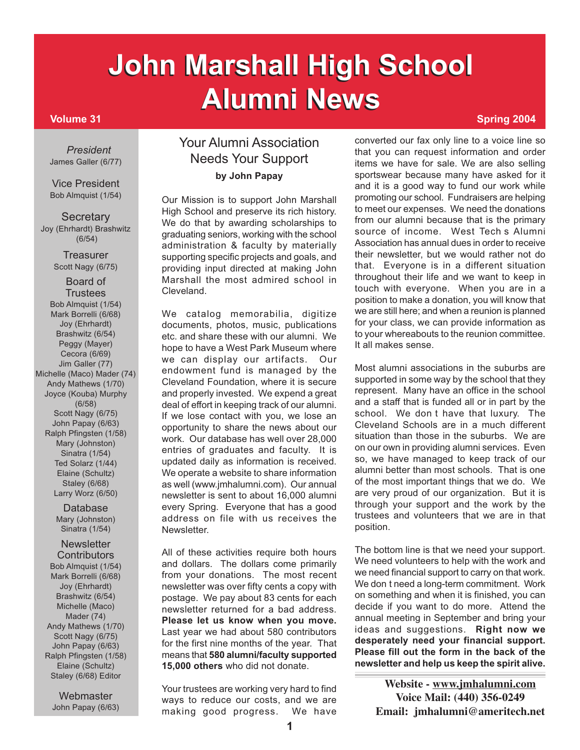# **John Marshall High School John Marshall High School Alumni News Spring 2004**

*President* James Galler (6/77)

Vice President Bob Almquist (1/54)

**Secretary** Joy (Ehrhardt) Brashwitz (6/54)

> **Treasurer** Scott Nagy (6/75)

Board of **Trustees** Bob Almquist (1/54) Mark Borrelli (6/68) Joy (Ehrhardt) Brashwitz (6/54) Peggy (Mayer) Cecora (6/69) Jim Galler (77) Michelle (Maco) Mader (74) Andy Mathews (1/70) Joyce (Kouba) Murphy (6/58) Scott Nagy (6/75) John Papay (6/63) Ralph Pfingsten (1/58) Mary (Johnston) Sinatra (1/54) Ted Solarz (1/44) Elaine (Schultz) Staley (6/68) Larry Worz (6/50)

> Database Mary (Johnston) Sinatra (1/54)

**Newsletter Contributors** Bob Almquist (1/54) Mark Borrelli (6/68) Joy (Ehrhardt) Brashwitz (6/54) Michelle (Maco) Mader (74) Andy Mathews (1/70) Scott Nagy (6/75) John Papay (6/63) Ralph Pfingsten (1/58) Elaine (Schultz) Staley (6/68) Editor

Webmaster John Papay (6/63)

## Your Alumni Association Needs Your Support **by John Papay**

Our Mission is to support John Marshall High School and preserve its rich history. We do that by awarding scholarships to graduating seniors, working with the school administration & faculty by materially supporting specific projects and goals, and providing input directed at making John Marshall the most admired school in Cleveland.

We catalog memorabilia, digitize documents, photos, music, publications etc. and share these with our alumni. We hope to have a West Park Museum where we can display our artifacts. Our endowment fund is managed by the Cleveland Foundation, where it is secure and properly invested. We expend a great deal of effort in keeping track of our alumni. If we lose contact with you, we lose an opportunity to share the news about our work. Our database has well over 28,000 entries of graduates and faculty. It is updated daily as information is received. We operate a website to share information as well (www.jmhalumni.com). Our annual newsletter is sent to about 16,000 alumni every Spring. Everyone that has a good address on file with us receives the **Newsletter** 

All of these activities require both hours and dollars. The dollars come primarily from your donations. The most recent newsletter was over fifty cents a copy with postage. We pay about 83 cents for each newsletter returned for a bad address. **Please let us know when you move.** Last year we had about 580 contributors for the first nine months of the year. That means that **580 alumni/faculty supported 15,000 others** who did not donate.

Your trustees are working very hard to find ways to reduce our costs, and we are making good progress. We have

converted our fax only line to a voice line so that you can request information and order items we have for sale. We are also selling sportswear because many have asked for it and it is a good way to fund our work while promoting our school. Fundraisers are helping to meet our expenses. We need the donations from our alumni because that is the primary source of income. West Tech s Alumni Association has annual dues in order to receive their newsletter, but we would rather not do that. Everyone is in a different situation throughout their life and we want to keep in touch with everyone. When you are in a position to make a donation, you will know that we are still here; and when a reunion is planned for your class, we can provide information as to your whereabouts to the reunion committee. It all makes sense.

Most alumni associations in the suburbs are supported in some way by the school that they represent. Many have an office in the school and a staff that is funded all or in part by the school. We don t have that luxury. The Cleveland Schools are in a much different situation than those in the suburbs. We are on our own in providing alumni services. Even so, we have managed to keep track of our alumni better than most schools. That is one of the most important things that we do. We are very proud of our organization. But it is through your support and the work by the trustees and volunteers that we are in that position.

The bottom line is that we need your support. We need volunteers to help with the work and we need financial support to carry on that work. We don t need a long-term commitment. Work on something and when it is finished, you can decide if you want to do more. Attend the annual meeting in September and bring your ideas and suggestions. **Right now we desperately need your financial support. Please fill out the form in the back of the newsletter and help us keep the spirit alive.**

> **Website - www.jmhalumni.com Voice Mail: (440) 356-0249 Email: jmhalumni@ameritech.net**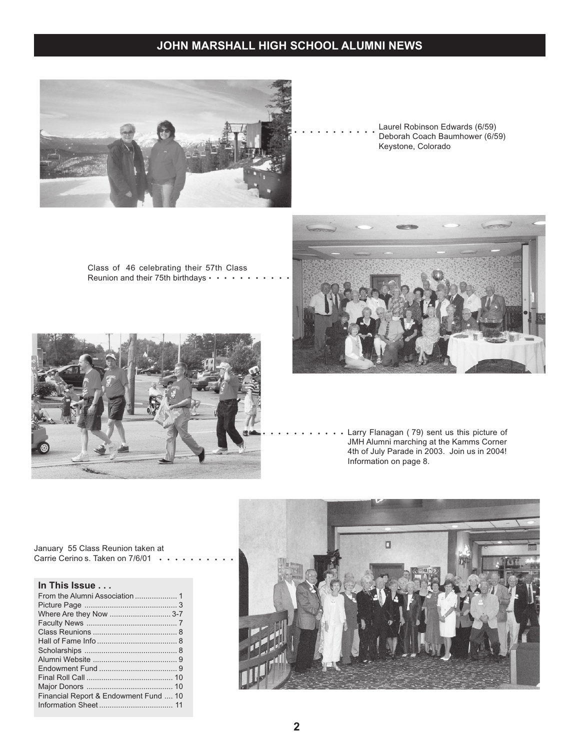

Laurel Robinson Edwards (6/59) Deborah Coach Baumhower (6/59) Keystone, Colorado

Class of 46 celebrating their 57th Class Reunion and their 75th birthdays • • • •





○○○○ ○○○○○○○ Larry Flanagan ( 79) sent us this picture of JMH Alumni marching at the Kamms Corner 4th of July Parade in 2003. Join us in 2004! Information on page 8.



January 55 Class Reunion taken at Carrie Cerino s. Taken on 7/6/01 •

#### **In This Issue . . .**

| Financial Report & Endowment Fund  10 |  |
|---------------------------------------|--|
|                                       |  |
|                                       |  |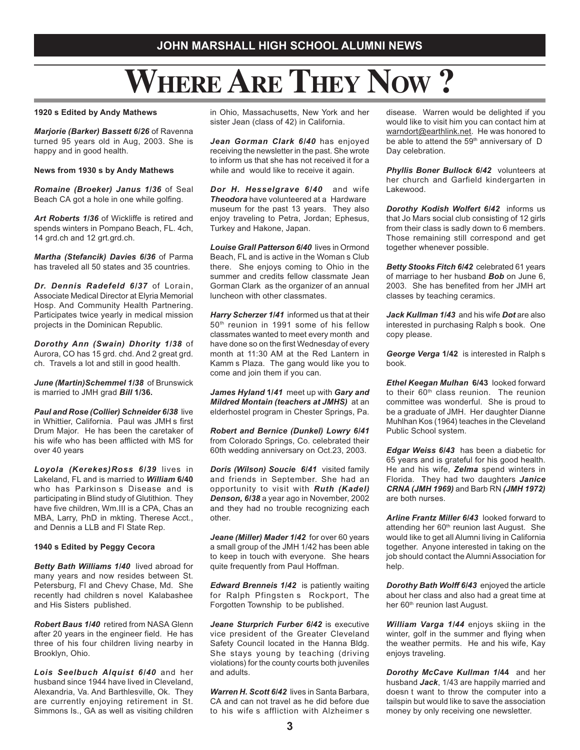## **WHERE ARE THEY NOW ?**

#### **1920 s Edited by Andy Mathews**

*Marjorie (Barker) Bassett 6/26* of Ravenna turned 95 years old in Aug, 2003. She is happy and in good health.

#### **News from 1930 s by Andy Mathews**

*Romaine (Broeker) Janus 1/36* of Seal Beach CA got a hole in one while golfing.

*Art Roberts 1/36* of Wickliffe is retired and spends winters in Pompano Beach, FL. 4ch, 14 grd.ch and 12 grt.grd.ch.

*Martha (Stefancik) Davies 6/36* of Parma has traveled all 50 states and 35 countries.

*Dr. Dennis Radefeld 6/37* of Lorain, Associate Medical Director at Elyria Memorial Hosp. And Community Health Partnering. Participates twice yearly in medical mission projects in the Dominican Republic.

*Dorothy Ann (Swain) Dhority 1/38* of Aurora, CO has 15 grd. chd. And 2 great grd. ch. Travels a lot and still in good health.

*June (Martin)Schemmel 1/38* of Brunswick is married to JMH grad *Bill* **1/36.**

*Paul and Rose (Collier) Schneider 6/38* live in Whittier, California. Paul was JMH s first Drum Major. He has been the caretaker of his wife who has been afflicted with MS for over 40 years

*Loyola (Kerekes)Ross 6/39* lives in Lakeland, FL and is married to *William* **6/40** who has Parkinson s Disease and is participating in Blind study of Glutithion. They have five children, Wm.III is a CPA, Chas an MBA, Larry, PhD in mkting. Therese Acct., and Dennis a LLB and Fl State Rep.

#### **1940 s Edited by Peggy Cecora**

*Betty Bath Williams 1/40* lived abroad for many years and now resides between St. Petersburg, Fl and Chevy Chase, Md. She recently had children s novel Kalabashee and His Sisters published.

*Robert Baus 1/40* retired from NASA Glenn after 20 years in the engineer field. He has three of his four children living nearby in Brooklyn, Ohio.

*Lois Seelbuch Alquist 6/40* and her husband since 1944 have lived in Cleveland, Alexandria, Va. And Barthlesville, Ok. They are currently enjoying retirement in St. Simmons Is., GA as well as visiting children in Ohio, Massachusetts, New York and her sister Jean (class of 42) in California.

*Jean Gorman Clark 6/40* has enjoyed receiving the newsletter in the past. She wrote to inform us that she has not received it for a while and would like to receive it again.

*Dor H. Hesselgrave 6/40* and wife *Theodora* have volunteered at a Hardware museum for the past 13 years. They also enjoy traveling to Petra, Jordan; Ephesus, Turkey and Hakone, Japan.

*Louise Grall Patterson 6/40* lives in Ormond Beach, FL and is active in the Woman s Club there. She enjoys coming to Ohio in the summer and credits fellow classmate Jean Gorman Clark as the organizer of an annual luncheon with other classmates.

*Harry Scherzer 1/41* informed us that at their 50th reunion in 1991 some of his fellow classmates wanted to meet every month and have done so on the first Wednesday of every month at 11:30 AM at the Red Lantern in Kamm s Plaza. The gang would like you to come and join them if you can.

*James Hyland* **1/***41* meet up with *Gary and Mildred Montain (teachers at JMHS)* at an elderhostel program in Chester Springs, Pa.

*Robert and Bernice (Dunkel) Lowry 6/41* from Colorado Springs, Co. celebrated their 60th wedding anniversary on Oct.23, 2003.

*Doris (Wilson) Soucie 6/41* visited family and friends in September. She had an opportunity to visit with *Ruth (Kadel) Denson, 6/38* a year ago in November, 2002 and they had no trouble recognizing each other.

*Jeane (Miller) Mader 1/42* for over 60 years a small group of the JMH 1/42 has been able to keep in touch with everyone. She hears quite frequently from Paul Hoffman.

*Edward Brenneis 1/42* is patiently waiting for Ralph Pfingsten s Rockport, The Forgotten Township to be published.

*Jeane Sturprich Furber 6/42* is executive vice president of the Greater Cleveland Safety Council located in the Hanna Bldg. She stays young by teaching (driving violations) for the county courts both juveniles and adults.

*Warren H. Scott 6/42* lives in Santa Barbara, CA and can not travel as he did before due to his wife s affliction with Alzheimer s

disease. Warren would be delighted if you would like to visit him you can contact him at warndort@earthlink.net. He was honored to be able to attend the 59<sup>th</sup> anniversary of D Day celebration.

**Phyllis Boner Bullock 6/42** volunteers at her church and Garfield kindergarten in Lakewood.

*Dorothy Kodish Wolfert 6/42* informs us that Jo Mars social club consisting of 12 girls from their class is sadly down to 6 members. Those remaining still correspond and get together whenever possible.

*Betty Stooks Fitch 6/42* celebrated 61 years of marriage to her husband *Bob* on June 6, 2003. She has benefited from her JMH art classes by teaching ceramics.

*Jack Kullman 1/43* and his wife *Dot* are also interested in purchasing Ralph s book. One copy please.

*George Verga* **1/42** is interested in Ralph s book.

*Ethel Keegan Mulhan* **6/43**looked forward to their 60<sup>th</sup> class reunion. The reunion committee was wonderful. She is proud to be a graduate of JMH. Her daughter Dianne Muhlhan Kos (1964) teaches in the Cleveland Public School system.

*Edgar Weiss 6/43* has been a diabetic for 65 years and is grateful for his good health. He and his wife, *Zelma* spend winters in Florida. They had two daughters *Janice CRNA (JMH 1969)* and Barb RN *(JMH 1972)* are both nurses.

*Arline Frantz Miller 6/43* looked forward to attending her 60<sup>th</sup> reunion last August. She would like to get all Alumni living in California together. Anyone interested in taking on the job should contact the Alumni Association for help

*Dorothy Bath Wolff 6/43* enjoyed the article about her class and also had a great time at her 60<sup>th</sup> reunion last August.

*William Varga 1/44* enjoys skiing in the winter, golf in the summer and flying when the weather permits. He and his wife, Kay enjoys traveling.

*Dorothy McCave Kullman 1/***44** and her husband *Jack*, 1/43 are happily married and doesn t want to throw the computer into a tailspin but would like to save the association money by only receiving one newsletter.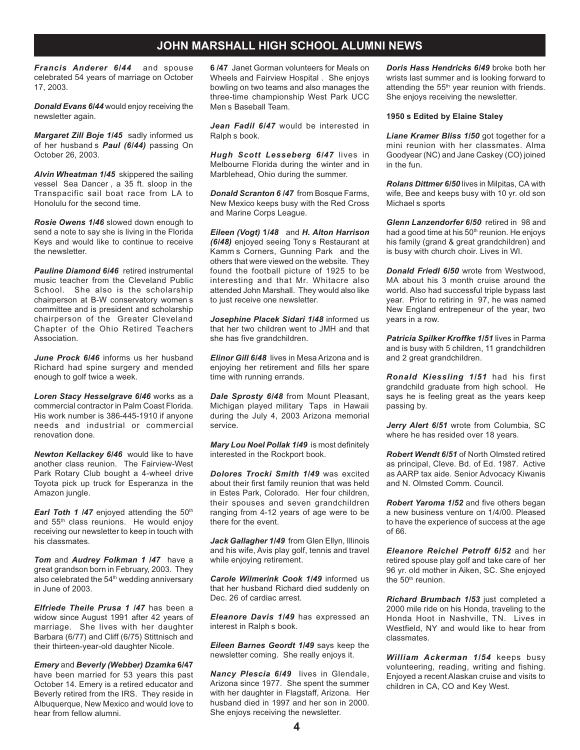*Francis Anderer 6/44* and spouse celebrated 54 years of marriage on October 17, 2003.

*Donald Evans 6/44* would enjoy receiving the newsletter again.

*Margaret Zill Boje 1/45* sadly informed us of her husband s *Paul (6/44)* passing On October 26, 2003.

*Alvin Wheatman 1/45* skippered the sailing vessel Sea Dancer , a 35 ft. sloop in the Transpacific sail boat race from LA to Honolulu for the second time.

*Rosie Owens 1/46* slowed down enough to send a note to say she is living in the Florida Keys and would like to continue to receive the newsletter.

*Pauline Diamond 6/46* retired instrumental music teacher from the Cleveland Public School. She also is the scholarship chairperson at B-W conservatory women s committee and is president and scholarship chairperson of the Greater Cleveland Chapter of the Ohio Retired Teachers Association.

*June Prock 6/46* informs us her husband Richard had spine surgery and mended enough to golf twice a week.

*Loren Stacy Hesselgrave 6/46* works as a commercial contractor in Palm Coast Florida. His work number is 386-445-1910 if anyone needs and industrial or commercial renovation done.

*Newton Kellackey 6/46* would like to have another class reunion. The Fairview-West Park Rotary Club bought a 4-wheel drive Toyota pick up truck for Esperanza in the Amazon jungle.

*Earl Toth 1 /47* enjoyed attending the 50<sup>th</sup> and 55<sup>th</sup> class reunions. He would enjoy receiving our newsletter to keep in touch with his classmates.

*Tom* and *Audrey Folkman 1 /47* have a great grandson born in February, 2003. They also celebrated the 54<sup>th</sup> wedding anniversary in June of 2003.

*Elfriede Theile Prusa 1 /47* has been a widow since August 1991 after 42 years of marriage. She lives with her daughter Barbara (6/77) and Cliff (6/75) Stittnisch and their thirteen-year-old daughter Nicole.

*Emery* and *Beverly (Webber) Dzamka* **6/47** have been married for 53 years this past October 14. Emery is a retired educator and Beverly retired from the IRS. They reside in Albuquerque, New Mexico and would love to hear from fellow alumni.

**6 /47** Janet Gorman volunteers for Meals on Wheels and Fairview Hospital . She enjoys bowling on two teams and also manages the three-time championship West Park UCC Men s Baseball Team.

*Jean Fadil 6/47* would be interested in Ralph s book.

*Hugh Scott Lesseberg 6/47* lives in Melbourne Florida during the winter and in Marblehead, Ohio during the summer.

*Donald Scranton 6 /47* from Bosque Farms, New Mexico keeps busy with the Red Cross and Marine Corps League.

*Eileen (Vogt)* **1***/48* and *H. Alton Harrison (6/48)* enjoyed seeing Tony s Restaurant at Kamm s Corners, Gunning Park and the others that were viewed on the website. They found the football picture of 1925 to be interesting and that Mr. Whitacre also attended John Marshall. They would also like to just receive one newsletter.

*Josephine Placek Sidari 1/48* informed us that her two children went to JMH and that she has five grandchildren.

*Elinor Gill 6/48* lives in Mesa Arizona and is enjoying her retirement and fills her spare time with running errands.

*Dale Sprosty 6/48* from Mount Pleasant, Michigan played military Taps in Hawaii during the July 4, 2003 Arizona memorial service.

*Mary Lou Noel Pollak 1/49* is most definitely interested in the Rockport book.

*Dolores Trocki Smith 1/49* was excited about their first family reunion that was held in Estes Park, Colorado. Her four children, their spouses and seven grandchildren ranging from 4-12 years of age were to be there for the event.

*Jack Gallagher 1/49* from Glen Ellyn, Illinois and his wife, Avis play golf, tennis and travel while enjoying retirement.

*Carole Wilmerink Cook 1/49* informed us that her husband Richard died suddenly on Dec. 26 of cardiac arrest.

*Eleanore Davis 1/49* has expressed an interest in Ralph s book.

*Eileen Barnes Geordt 1/49* says keep the newsletter coming. She really enjoys it.

*Nancy Plescia 6/49* lives in Glendale, Arizona since 1977. She spent the summer with her daughter in Flagstaff, Arizona. Her husband died in 1997 and her son in 2000. She enjoys receiving the newsletter.

*Doris Hass Hendricks 6/49* broke both her wrists last summer and is looking forward to attending the 55<sup>th</sup> year reunion with friends. She enjoys receiving the newsletter.

#### **1950 s Edited by Elaine Staley**

*Liane Kramer Bliss 1/50* got together for a mini reunion with her classmates. Alma Goodyear (NC) and Jane Caskey (CO) joined in the fun.

*Rolans Dittmer 6/50* lives in Milpitas, CA with wife, Bee and keeps busy with 10 yr. old son Michael s sports

*Glenn Lanzendorfer 6/50* retired in 98 and had a good time at his  $50<sup>th</sup>$  reunion. He enjoys his family (grand & great grandchildren) and is busy with church choir. Lives in WI.

*Donald Friedl 6/50* wrote from Westwood, MA about his 3 month cruise around the world. Also had successful triple bypass last year. Prior to retiring in 97, he was named New England entrepeneur of the year, two years in a row.

*Patricia Spilker Kroffke 1/51* lives in Parma and is busy with 5 children, 11 grandchildren and 2 great grandchildren.

*Ronald Kiessling 1/51* had his first grandchild graduate from high school. He says he is feeling great as the years keep passing by.

*Jerry Alert 6/51* wrote from Columbia, SC where he has resided over 18 years.

*Robert Wendt 6/51* of North Olmsted retired as principal, Cleve. Bd. of Ed. 1987. Active as AARP tax aide. Senior Advocacy Kiwanis and N. Olmsted Comm. Council.

*Robert Yaroma 1/52* and five others began a new business venture on 1/4/00. Pleased to have the experience of success at the age of 66.

*Eleanore Reichel Petroff 6/52* and her retired spouse play golf and take care of her 96 yr. old mother in Aiken, SC. She enjoyed the 50<sup>th</sup> reunion.

*Richard Brumbach 1/53* just completed a 2000 mile ride on his Honda, traveling to the Honda Hoot in Nashville, TN. Lives in Westfield, NY and would like to hear from classmates.

*William Ackerman 1/54* keeps busy volunteering, reading, writing and fishing. Enjoyed a recent Alaskan cruise and visits to children in CA, CO and Key West.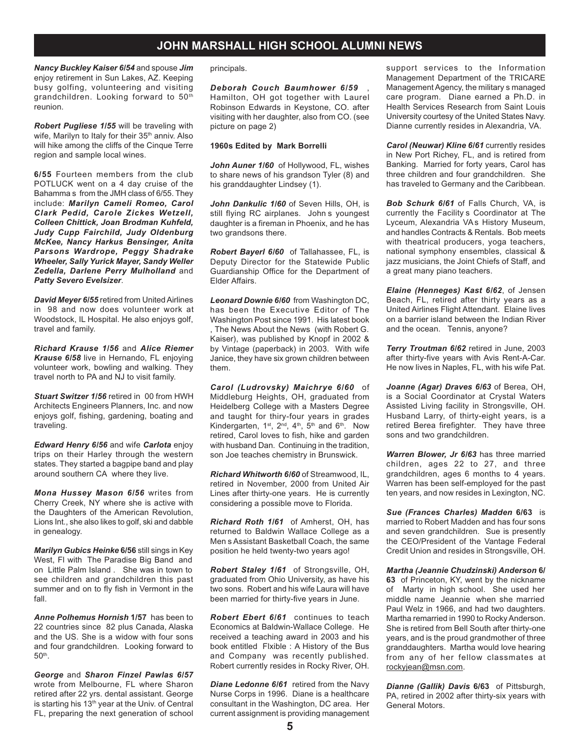*Nancy Buckley Kaiser 6/54* and spouse *Jim* enjoy retirement in Sun Lakes, AZ. Keeping busy golfing, volunteering and visiting grandchildren. Looking forward to 50<sup>th</sup> reunion.

*Robert Pugliese 1/55* will be traveling with wife, Marilyn to Italy for their 35<sup>th</sup> anniv. Also will hike among the cliffs of the Cinque Terre region and sample local wines.

**6/55** Fourteen members from the club POTLUCK went on a 4 day cruise of the Bahamma s from the JMH class of 6/55. They include: *Marilyn Cameli Romeo, Carol Clark Pedid, Carole Zickes Wetzell, Colleen Chittick, Joan Brodman Kuhfeld, Judy Cupp Fairchild, Judy Oldenburg McKee, Nancy Harkus Bensinger, Anita Parsons Wardrope, Peggy Shadrake Wheeler, Sally Yurick Mayer, Sandy Weller Zedella, Darlene Perry Mulholland* and *Patty Severo Evelsizer*.

*David Meyer 6/55* retired from United Airlines in 98 and now does volunteer work at Woodstock, IL Hospital. He also enjoys golf, travel and family.

*Richard Krause 1/56* and *Alice Riemer Krause 6/58* live in Hernando, FL enjoying volunteer work, bowling and walking. They travel north to PA and NJ to visit family.

*Stuart Switzer 1/56* retired in 00 from HWH Architects Engineers Planners, Inc. and now enjoys golf, fishing, gardening, boating and traveling.

*Edward Henry 6/56* and wife *Carlota* enjoy trips on their Harley through the western states. They started a bagpipe band and play around southern CA where they live.

*Mona Hussey Mason 6/56* writes from Cherry Creek, NY where she is active with the Daughters of the American Revolution, Lions Int., she also likes to golf, ski and dabble in genealogy.

*Marilyn Gubics Heinke* **6/56** still sings in Key West, Fl with The Paradise Big Band and on Little Palm Island . She was in town to see children and grandchildren this past summer and on to fly fish in Vermont in the fall.

*Anne Polhemus Hornish* **1/57** has been to 22 countries since 82 plus Canada, Alaska and the US. She is a widow with four sons and four grandchildren. Looking forward to 50th.

*George* and *Sharon Finzel Pawlas 6/57* wrote from Melbourne, FL where Sharon retired after 22 yrs. dental assistant. George is starting his 13<sup>th</sup> year at the Univ. of Central FL, preparing the next generation of school principals.

*Deborah Couch Baumhower 6/59* , Hamilton, OH got together with Laurel Robinson Edwards in Keystone, CO. after visiting with her daughter, also from CO. (see picture on page 2)

#### **1960s Edited by Mark Borrelli**

*John Auner 1/60* of Hollywood, FL, wishes to share news of his grandson Tyler (8) and his granddaughter Lindsey (1).

*John Dankulic 1/60* of Seven Hills, OH, is still flying RC airplanes. John s youngest daughter is a fireman in Phoenix, and he has two grandsons there.

*Robert Bayerl 6/60* of Tallahassee, FL, is Deputy Director for the Statewide Public Guardianship Office for the Department of Elder Affairs.

*Leonard Downie 6/60* from Washington DC, has been the Executive Editor of The Washington Post since 1991. His latest book , The News About the News (with Robert G. Kaiser), was published by Knopf in 2002 & by Vintage (paperback) in 2003. With wife Janice, they have six grown children between them.

*Carol (Ludrovsky) Maichrye 6/60* of Middleburg Heights, OH, graduated from Heidelberg College with a Masters Degree and taught for thiry-four years in grades Kindergarten, 1st, 2<sup>nd</sup>, 4<sup>th</sup>, 5<sup>th</sup> and 6<sup>th</sup>. Now retired, Carol loves to fish, hike and garden with husband Dan. Continuing in the tradition, son Joe teaches chemistry in Brunswick.

*Richard Whitworth 6/60* of Streamwood, IL, retired in November, 2000 from United Air Lines after thirty-one years. He is currently considering a possible move to Florida.

*Richard Roth 1/61* of Amherst, OH, has returned to Baldwin Wallace College as a Men s Assistant Basketball Coach, the same position he held twenty-two years ago!

*Robert Staley 1/61* of Strongsville, OH, graduated from Ohio University, as have his two sons. Robert and his wife Laura will have been married for thirty-five years in June.

*Robert Ebert 6/61* continues to teach Economics at Baldwin-Wallace College. He received a teaching award in 2003 and his book entitled Flxible : A History of the Bus and Company was recently published. Robert currently resides in Rocky River, OH.

*Diane Ledonne 6/61* retired from the Navy Nurse Corps in 1996. Diane is a healthcare consultant in the Washington, DC area. Her current assignment is providing management support services to the Information Management Department of the TRICARE Management Agency, the military s managed care program. Diane earned a Ph.D. in Health Services Research from Saint Louis University courtesy of the United States Navy. Dianne currently resides in Alexandria, VA.

*Carol (Neuwar) Kline 6/61* currently resides in New Port Richey, FL, and is retired from Banking. Married for forty years, Carol has three children and four grandchildren. She has traveled to Germany and the Caribbean.

*Bob Schurk 6/61* of Falls Church, VA, is currently the Facility s Coordinator at The Lyceum, Alexandria VA s History Museum, and handles Contracts & Rentals. Bob meets with theatrical producers, yoga teachers, national symphony ensembles, classical & jazz musicians, the Joint Chiefs of Staff, and a great many piano teachers.

*Elaine (Henneges) Kast 6/62*, of Jensen Beach, FL, retired after thirty years as a United Airlines Flight Attendant. Elaine lives on a barrier island between the Indian River and the ocean. Tennis, anyone?

*Terry Troutman 6/62* retired in June, 2003 after thirty-five years with Avis Rent-A-Car. He now lives in Naples, FL, with his wife Pat.

*Joanne (Agar) Draves 6/63* of Berea, OH, is a Social Coordinator at Crystal Waters Assisted Living facility in Strongsville, OH. Husband Larry, of thirty-eight years, is a retired Berea firefighter. They have three sons and two grandchildren.

*Warren Blower, Jr 6/63* has three married children, ages 22 to 27, and three grandchildren, ages 6 months to 4 years. Warren has been self-employed for the past ten years, and now resides in Lexington, NC.

*Sue (Frances Charles) Madden* **6/63** is married to Robert Madden and has four sons and seven grandchildren. Sue is presently the CEO/President of the Vantage Federal Credit Union and resides in Strongsville, OH.

*Martha (Jeannie Chudzinski) Anderson* **6/ 63** of Princeton, KY, went by the nickname of Marty in high school. She used her middle name Jeannie when she married Paul Welz in 1966, and had two daughters. Martha remarried in 1990 to Rocky Anderson. She is retired from Bell South after thirty-one years, and is the proud grandmother of three granddaughters. Martha would love hearing from any of her fellow classmates at rockyjean@msn.com.

*Dianne (Gallik) Davis* **6/63** of Pittsburgh, PA, retired in 2002 after thirty-six years with General Motors.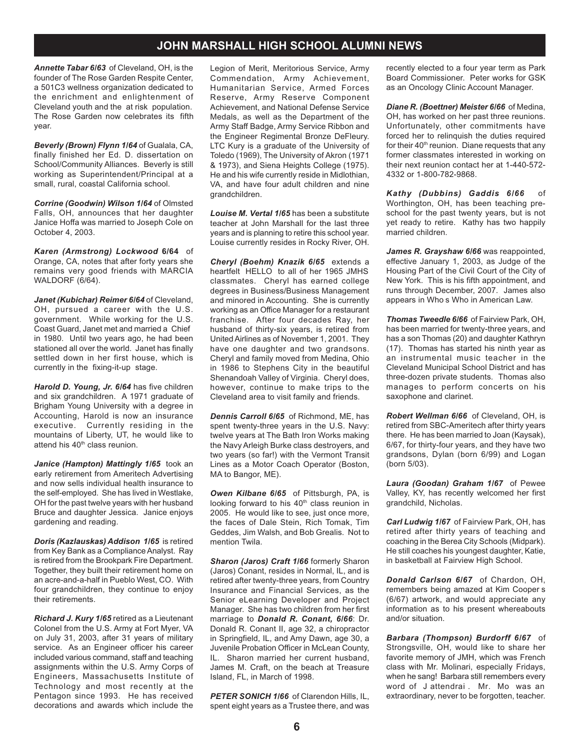*Annette Tabar 6/63* of Cleveland, OH, is the founder of The Rose Garden Respite Center, a 501C3 wellness organization dedicated to the enrichment and enlightenment of Cleveland youth and the at risk population. The Rose Garden now celebrates its fifth year.

*Beverly (Brown) Flynn 1/64* of Gualala, CA, finally finished her Ed. D. dissertation on School/Community Alliances. Beverly is still working as Superintendent/Principal at a small, rural, coastal California school.

*Corrine (Goodwin) Wilson 1/64* of Olmsted Falls, OH, announces that her daughter Janice Hoffa was married to Joseph Cole on October 4, 2003.

*Karen (Armstrong) Lockwood* **6/64** of Orange, CA, notes that after forty years she remains very good friends with MARCIA WALDORF (6/64).

*Janet (Kubichar) Reimer 6/64* of Cleveland, OH, pursued a career with the U.S. government. While working for the U.S. Coast Guard, Janet met and married a Chief in 1980. Until two years ago, he had been stationed all over the world. Janet has finally settled down in her first house, which is currently in the fixing-it-up stage.

*Harold D. Young, Jr. 6/64* has five children and six grandchildren. A 1971 graduate of Brigham Young University with a degree in Accounting, Harold is now an insurance executive. Currently residing in the mountains of Liberty, UT, he would like to attend his 40<sup>th</sup> class reunion.

*Janice (Hampton) Mattingly 1/65* took an early retirement from Ameritech Advertising and now sells individual health insurance to the self-employed. She has lived in Westlake, OH for the past twelve years with her husband Bruce and daughter Jessica. Janice enjoys gardening and reading.

*Doris (Kazlauskas) Addison 1/65* is retired from Key Bank as a Compliance Analyst. Ray is retired from the Brookpark Fire Department. Together, they built their retirement home on an acre-and-a-half in Pueblo West, CO. With four grandchildren, they continue to enjoy their retirements.

*Richard J. Kury 1/65* retired as a Lieutenant Colonel from the U.S. Army at Fort Myer, VA on July 31, 2003, after 31 years of military service. As an Engineer officer his career included various command, staff and teaching assignments within the U.S. Army Corps of Engineers, Massachusetts Institute of Technology and most recently at the Pentagon since 1993. He has received decorations and awards which include the

Legion of Merit, Meritorious Service, Army Commendation, Army Achievement, Humanitarian Service, Armed Forces Reserve, Army Reserve Component Achievement, and National Defense Service Medals, as well as the Department of the Army Staff Badge, Army Service Ribbon and the Engineer Regimental Bronze DeFleury. LTC Kury is a graduate of the University of Toledo (1969), The University of Akron (1971 & 1973), and Siena Heights College (1975). He and his wife currently reside in Midlothian, VA, and have four adult children and nine grandchildren.

*Louise M. Vertal 1/65* has been a substitute teacher at John Marshall for the last three years and is planning to retire this school year. Louise currently resides in Rocky River, OH.

*Cheryl (Boehm) Knazik 6/65* extends a heartfelt HELLO to all of her 1965 JMHS classmates. Cheryl has earned college degrees in Business/Business Management and minored in Accounting. She is currently working as an Office Manager for a restaurant franchise. After four decades Ray, her husband of thirty-six years, is retired from United Airlines as of November 1, 2001. They have one daughter and two grandsons. Cheryl and family moved from Medina, Ohio in 1986 to Stephens City in the beautiful Shenandoah Valley of Virginia. Cheryl does, however, continue to make trips to the Cleveland area to visit family and friends.

*Dennis Carroll 6/65* of Richmond, ME, has spent twenty-three years in the U.S. Navy: twelve years at The Bath Iron Works making the Navy Arleigh Burke class destroyers, and two years (so far!) with the Vermont Transit Lines as a Motor Coach Operator (Boston, MA to Bangor, ME).

*Owen Kilbane 6/65* of Pittsburgh, PA, is looking forward to his 40<sup>th</sup> class reunion in 2005. He would like to see, just once more, the faces of Dale Stein, Rich Tomak, Tim Geddes, Jim Walsh, and Bob Grealis. Not to mention Twila.

*Sharon (Jaros) Craft 1/66* formerly Sharon (Jaros) Conant, resides in Normal, IL, and is retired after twenty-three years, from Country Insurance and Financial Services, as the Senior eLearning Developer and Project Manager. She has two children from her first marriage to *Donald R. Conant, 6/66*: Dr. Donald R. Conant II, age 32, a chiropractor in Springfield, IL, and Amy Dawn, age 30, a Juvenile Probation Officer in McLean County, IL. Sharon married her current husband, James M. Craft, on the beach at Treasure Island, FL, in March of 1998.

*PETER SONICH 1/66* of Clarendon Hills, IL, spent eight years as a Trustee there, and was recently elected to a four year term as Park Board Commissioner. Peter works for GSK as an Oncology Clinic Account Manager.

*Diane R. (Boettner) Meister 6/66* of Medina, OH, has worked on her past three reunions. Unfortunately, other commitments have forced her to relinquish the duties required for their  $40<sup>th</sup>$  reunion. Diane requests that any former classmates interested in working on their next reunion contact her at 1-440-572- 4332 or 1-800-782-9868.

*Kathy (Dubbins) Gaddis 6/66* of Worthington, OH, has been teaching preschool for the past twenty years, but is not yet ready to retire. Kathy has two happily married children.

*James R. Grayshaw 6/66* was reappointed, effective January 1, 2003, as Judge of the Housing Part of the Civil Court of the City of New York. This is his fifth appointment, and runs through December, 2007. James also appears in Who s Who in American Law.

*Thomas Tweedle 6/66* of Fairview Park, OH, has been married for twenty-three years, and has a son Thomas (20) and daughter Kathryn (17). Thomas has started his ninth year as an instrumental music teacher in the Cleveland Municipal School District and has three-dozen private students. Thomas also manages to perform concerts on his saxophone and clarinet.

*Robert Wellman 6/66* of Cleveland, OH, is retired from SBC-Ameritech after thirty years there. He has been married to Joan (Kaysak), 6/67, for thirty-four years, and they have two grandsons, Dylan (born 6/99) and Logan (born 5/03).

*Laura (Goodan) Graham 1/67* of Pewee Valley, KY, has recently welcomed her first grandchild, Nicholas.

*Carl Ludwig 1/67* of Fairview Park, OH, has retired after thirty years of teaching and coaching in the Berea City Schools (Midpark). He still coaches his youngest daughter, Katie, in basketball at Fairview High School.

*Donald Carlson 6/67* of Chardon, OH, remembers being amazed at Kim Cooper s (6/67) artwork, and would appreciate any information as to his present whereabouts and/or situation.

*Barbara (Thompson) Burdorff 6/67* of Strongsville, OH, would like to share her favorite memory of JMH, which was French class with Mr. Molinari, especially Fridays, when he sang! Barbara still remembers every word of J attendrai . Mr. Mo was an extraordinary, never to be forgotten, teacher.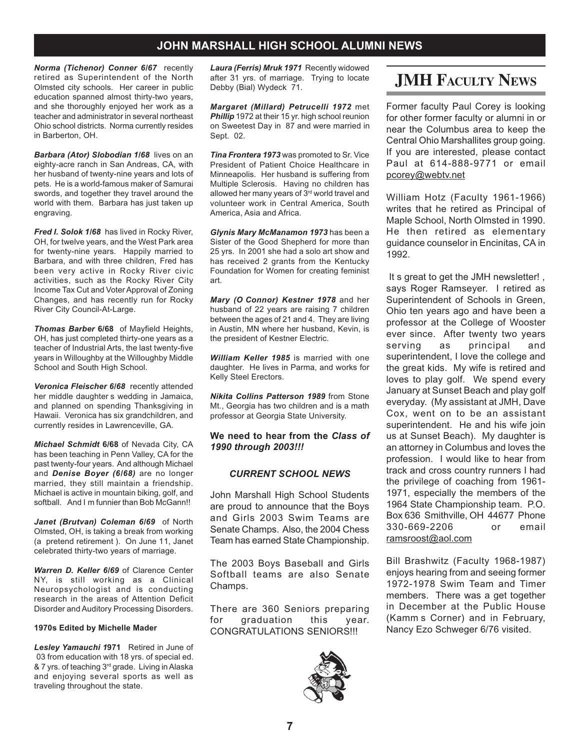*Norma (Tichenor) Conner 6/67* recently retired as Superintendent of the North Olmsted city schools. Her career in public education spanned almost thirty-two years, and she thoroughly enjoyed her work as a teacher and administrator in several northeast Ohio school districts. Norma currently resides in Barberton, OH.

*Barbara (Ator) Slobodian 1/68* lives on an eighty-acre ranch in San Andreas, CA, with her husband of twenty-nine years and lots of pets. He is a world-famous maker of Samurai swords, and together they travel around the world with them. Barbara has just taken up engraving.

*Fred I. Solok 1/68* has lived in Rocky River, OH, for twelve years, and the West Park area for twenty-nine years. Happily married to Barbara, and with three children, Fred has been very active in Rocky River civic activities, such as the Rocky River City Income Tax Cut and Voter Approval of Zoning Changes, and has recently run for Rocky River City Council-At-Large.

*Thomas Barber* **6/68** of Mayfield Heights, OH, has just completed thirty-one years as a teacher of Industrial Arts, the last twenty-five years in Willoughby at the Willoughby Middle School and South High School.

*Veronica Fleischer 6/68* recently attended her middle daughter s wedding in Jamaica, and planned on spending Thanksgiving in Hawaii. Veronica has six grandchildren, and currently resides in Lawrenceville, GA.

*Michael Schmidt* **6/68** of Nevada City, CA has been teaching in Penn Valley, CA for the past twenty-four years. And although Michael and *Denise Boyer (6/68)* are no longer married, they still maintain a friendship. Michael is active in mountain biking, golf, and softball. And I m funnier than Bob McGann!!

*Janet (Brutvan) Coleman 6/69* of North Olmsted, OH, is taking a break from working (a pretend retirement ). On June 11, Janet celebrated thirty-two years of marriage.

*Warren D. Keller 6/69* of Clarence Center NY, is still working as a Clinical Neuropsychologist and is conducting research in the areas of Attention Deficit Disorder and Auditory Processing Disorders.

#### **1970s Edited by Michelle Mader**

*Lesley Yamauchi 1***971** Retired in June of 03 from education with 18 yrs. of special ed. & 7 yrs. of teaching 3rd grade. Living in Alaska and enjoying several sports as well as traveling throughout the state.

*Laura (Ferris) Mruk 1971* Recently widowed after 31 yrs. of marriage. Trying to locate Debby (Bial) Wydeck 71.

*Margaret (Millard) Petrucelli 1972* met **Phillip** 1972 at their 15 yr. high school reunion on Sweetest Day in 87 and were married in Sept. 02.

*Tina Frontera 1973* was promoted to Sr. Vice President of Patient Choice Healthcare in Minneapolis. Her husband is suffering from Multiple Sclerosis. Having no children has allowed her many years of  $3<sup>rd</sup>$  world travel and volunteer work in Central America, South America, Asia and Africa.

*Glynis Mary McManamon 1973* has been a Sister of the Good Shepherd for more than 25 yrs. In 2001 she had a solo art show and has received 2 grants from the Kentucky Foundation for Women for creating feminist art.

*Mary (O Connor) Kestner 1978* and her husband of 22 years are raising 7 children between the ages of 21 and 4. They are living in Austin, MN where her husband, Kevin, is the president of Kestner Electric.

*William Keller 1985* is married with one daughter. He lives in Parma, and works for Kelly Steel Erectors.

*Nikita Collins Patterson 1989* from Stone Mt., Georgia has two children and is a math professor at Georgia State University.

**We need to hear from the** *Class of 1990 through 2003!!!*

#### *CURRENT SCHOOL NEWS*

John Marshall High School Students are proud to announce that the Boys and Girls 2003 Swim Teams are Senate Champs. Also, the 2004 Chess Team has earned State Championship.

The 2003 Boys Baseball and Girls Softball teams are also Senate Champs.

There are 360 Seniors preparing for graduation this year. CONGRATULATIONS SENIORS!!!



## **JMH FACULTY NEWS**

Former faculty Paul Corey is looking for other former faculty or alumni in or near the Columbus area to keep the Central Ohio Marshallites group going. If you are interested, please contact Paul at 614-888-9771 or email pcorey@webtv.net

William Hotz (Faculty 1961-1966) writes that he retired as Principal of Maple School, North Olmsted in 1990. He then retired as elementary guidance counselor in Encinitas, CA in 1992.

It s great to get the JMH newsletter! , says Roger Ramseyer. I retired as Superintendent of Schools in Green, Ohio ten years ago and have been a professor at the College of Wooster ever since. After twenty two years serving as principal and superintendent, I love the college and the great kids. My wife is retired and loves to play golf. We spend every January at Sunset Beach and play golf everyday. (My assistant at JMH, Dave Cox, went on to be an assistant superintendent. He and his wife join us at Sunset Beach). My daughter is an attorney in Columbus and loves the profession. I would like to hear from track and cross country runners I had the privilege of coaching from 1961- 1971, especially the members of the 1964 State Championship team. P.O. Box 636 Smithville, OH 44677 Phone 330-669-2206 or email ramsroost@aol.com

Bill Brashwitz (Faculty 1968-1987) enjoys hearing from and seeing former 1972-1978 Swim Team and Timer members. There was a get together in December at the Public House (Kamm s Corner) and in February, Nancy Ezo Schweger 6/76 visited.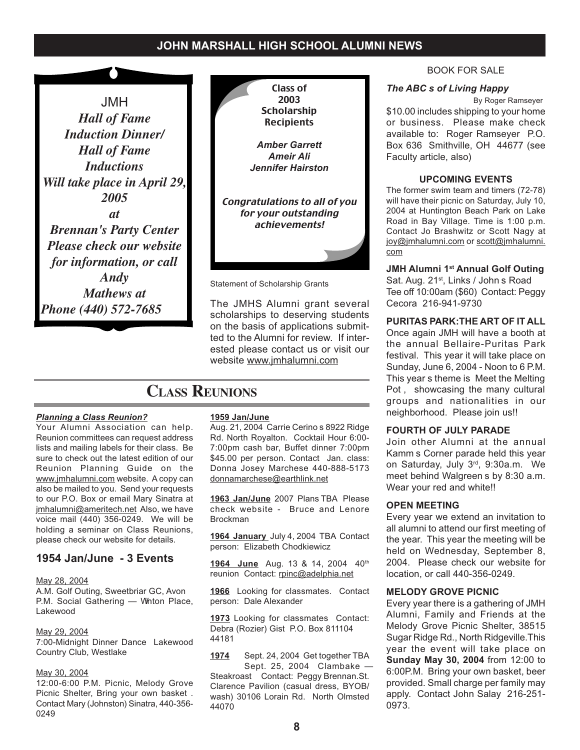JMH *Hall of Fame Induction Dinner/ Hall of Fame Inductions Will take place in April 29, 2005 at Brennan's Party Center Please check our website for information, or call Andy Mathews at Phone (440) 572-7685*



The JMHS Alumni grant several scholarships to deserving students on the basis of applications submitted to the Alumni for review. If interested please contact us or visit our website www.jmhalumni.com

## **CLASS REUNIONS**

#### *Planning a Class Reunion?*

Your Alumni Association can help. Reunion committees can request address lists and mailing labels for their class. Be sure to check out the latest edition of our Reunion Planning Guide on the www.jmhalumni.com website. A copy can also be mailed to you. Send your requests to our P.O. Box or email Mary Sinatra at jmhalumni@ameritech.net Also, we have voice mail (440) 356-0249. We will be holding a seminar on Class Reunions, please check our website for details.

#### **1954 Jan/June - 3 Events**

#### May 28, 2004

A.M. Golf Outing, Sweetbriar GC, Avon P.M. Social Gathering - Whton Place, Lakewood

#### May 29, 2004

7:00-Midnight Dinner Dance Lakewood Country Club, Westlake

#### May 30, 2004

12:00-6:00 P.M. Picnic, Melody Grove Picnic Shelter, Bring your own basket . Contact Mary (Johnston) Sinatra, 440-356- 0249

#### **1959 Jan/June**

Aug. 21, 2004 Carrie Cerino s 8922 Ridge Rd. North Royalton. Cocktail Hour 6:00- 7:00pm cash bar, Buffet dinner 7:00pm \$45.00 per person. Contact Jan. class: Donna Josey Marchese 440-888-5173 donnamarchese@earthlink.net

**1963 Jan/June** 2007 Plans TBA Please check website - Bruce and Lenore Brockman

**1964 January** July 4, 2004 TBA Contact person: Elizabeth Chodkiewicz

1964 June Aug. 13 & 14, 2004 40<sup>th</sup> reunion Contact: rpinc@adelphia.net

**1966** Looking for classmates. Contact person: Dale Alexander

**1973** Looking for classmates Contact: Debra (Rozier) Gist P.O. Box 811104 44181

**1974** Sept. 24, 2004 Get together TBA Sept. 25, 2004 Clambake — Steakroast Contact: Peggy Brennan.St. Clarence Pavilion (casual dress, BYOB/ wash) 30106 Lorain Rd. North Olmsted 44070

#### BOOK FOR SALE

#### *The ABC s of Living Happy*

By Roger Ramseyer

\$10.00 includes shipping to your home or business. Please make check available to: Roger Ramseyer P.O. Box 636 Smithville, OH 44677 (see Faculty article, also)

#### **UPCOMING EVENTS**

The former swim team and timers (72-78) will have their picnic on Saturday, July 10, 2004 at Huntington Beach Park on Lake Road in Bay Village. Time is 1:00 p.m. Contact Jo Brashwitz or Scott Nagy at joy@jmhalumni.com or scott@jmhalumni. com

**JMH Alumni 1st Annual Golf Outing**

Sat. Aug. 21<sup>st</sup>, Links / John s Road Tee off 10:00am (\$60) Contact: Peggy Cecora 216-941-9730

#### **PURITAS PARK:THE ART OF IT ALL**

Once again JMH will have a booth at the annual Bellaire-Puritas Park festival. This year it will take place on Sunday, June 6, 2004 - Noon to 6 P.M. This year s theme is Meet the Melting Pot , showcasing the many cultural groups and nationalities in our neighborhood. Please join us!!

#### **FOURTH OF JULY PARADE**

Join other Alumni at the annual Kamm s Corner parade held this year on Saturday, July 3rd, 9:30a.m. We meet behind Walgreen s by 8:30 a.m. Wear your red and white!!

#### **OPEN MEETING**

Every year we extend an invitation to all alumni to attend our first meeting of the year. This year the meeting will be held on Wednesday, September 8, 2004. Please check our website for location, or call 440-356-0249.

#### **MELODY GROVE PICNIC**

Every year there is a gathering of JMH Alumni, Family and Friends at the Melody Grove Picnic Shelter, 38515 Sugar Ridge Rd., North Ridgeville.This year the event will take place on **Sunday May 30, 2004** from 12:00 to 6:00P.M. Bring your own basket, beer provided. Small charge per family may apply. Contact John Salay 216-251- 0973.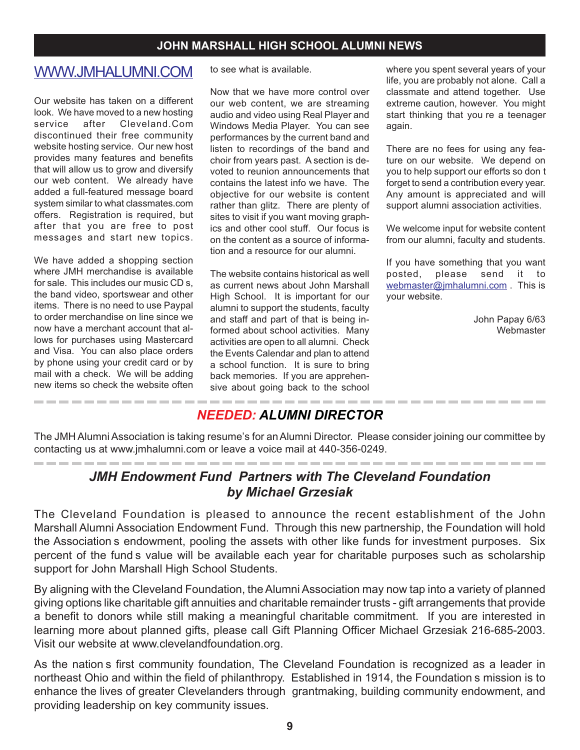## WWW.JMHALUMNI.COM

Our website has taken on a different look. We have moved to a new hosting service after Cleveland.Com discontinued their free community website hosting service. Our new host provides many features and benefits that will allow us to grow and diversify our web content. We already have added a full-featured message board system similar to what classmates.com offers. Registration is required, but after that you are free to post messages and start new topics.

We have added a shopping section where JMH merchandise is available for sale. This includes our music CD s, the band video, sportswear and other items. There is no need to use Paypal to order merchandise on line since we now have a merchant account that allows for purchases using Mastercard and Visa. You can also place orders by phone using your credit card or by mail with a check. We will be adding new items so check the website often

----------------

to see what is available.

Now that we have more control over our web content, we are streaming audio and video using Real Player and Windows Media Player. You can see performances by the current band and listen to recordings of the band and choir from years past. A section is devoted to reunion announcements that contains the latest info we have. The objective for our website is content rather than glitz. There are plenty of sites to visit if you want moving graphics and other cool stuff. Our focus is on the content as a source of information and a resource for our alumni.

The website contains historical as well as current news about John Marshall High School. It is important for our alumni to support the students, faculty and staff and part of that is being informed about school activities. Many activities are open to all alumni. Check the Events Calendar and plan to attend a school function. It is sure to bring back memories. If you are apprehensive about going back to the school

where you spent several years of your life, you are probably not alone. Call a classmate and attend together. Use extreme caution, however. You might start thinking that you re a teenager again.

There are no fees for using any feature on our website. We depend on you to help support our efforts so don t forget to send a contribution every year. Any amount is appreciated and will support alumni association activities.

We welcome input for website content from our alumni, faculty and students.

If you have something that you want posted, please send it to webmaster@jmhalumni.com . This is your website.

> John Papay 6/63 Webmaster

## *NEEDED: ALUMNI DIRECTOR*

The JMH Alumni Association is taking resume's for an Alumni Director. Please consider joining our committee by contacting us at www.jmhalumni.com or leave a voice mail at 440-356-0249.

## *JMH Endowment Fund Partners with The Cleveland Foundation by Michael Grzesiak*

The Cleveland Foundation is pleased to announce the recent establishment of the John Marshall Alumni Association Endowment Fund. Through this new partnership, the Foundation will hold the Association s endowment, pooling the assets with other like funds for investment purposes. Six percent of the fund s value will be available each year for charitable purposes such as scholarship support for John Marshall High School Students.

By aligning with the Cleveland Foundation, the Alumni Association may now tap into a variety of planned giving options like charitable gift annuities and charitable remainder trusts - gift arrangements that provide a benefit to donors while still making a meaningful charitable commitment. If you are interested in learning more about planned gifts, please call Gift Planning Officer Michael Grzesiak 216-685-2003. Visit our website at www.clevelandfoundation.org.

As the nation s first community foundation, The Cleveland Foundation is recognized as a leader in northeast Ohio and within the field of philanthropy. Established in 1914, the Foundation s mission is to enhance the lives of greater Clevelanders through grantmaking, building community endowment, and providing leadership on key community issues.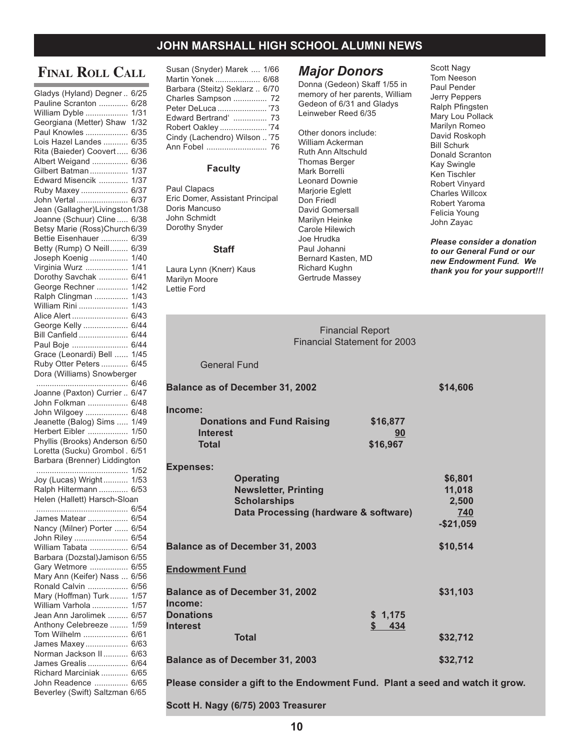## **FINAL ROLL CALL**

| Gladys (Hyland) Degner         | 6/25 |
|--------------------------------|------|
| Pauline Scranton               | 6/28 |
|                                |      |
| William Dyble                  | 1/31 |
| Georgiana (Metter) Shaw        | 1/32 |
| Paul Knowles                   | 6/35 |
|                                |      |
| Lois Hazel Landes              | 6/35 |
| Rita (Baieder) Coovert         | 6/36 |
|                                |      |
| Albert Weigand                 | 6/36 |
| Gilbert Batman                 | 1/37 |
| Edward Misencik                | 1/37 |
|                                |      |
| Ruby Maxey                     | 6/37 |
| John Vertal                    | 6/37 |
| Jean (Gallagher)Livingston1/38 |      |
|                                |      |
| Joanne (Schuur) Cline          | 6/38 |
| Betsy Marie (Ross)Church 6/39  |      |
|                                |      |
| Bettie Eisenhauer              | 6/39 |
| Betty (Rump) O Neill           | 6/39 |
| Joseph Koenig                  | 1/40 |
|                                |      |
| Virginia Wurz                  | 1/41 |
| Dorothy Savchak                | 6/41 |
| George Rechner                 | 1/42 |
|                                |      |
| Ralph Clingman                 | 1/43 |
| William Rini                   | 1/43 |
| Alice Alert                    | 6/43 |
|                                |      |
| George Kelly                   | 6/44 |
| Bill Canfield                  | 6/44 |
|                                |      |
| Paul Boje                      | 6/44 |
| Grace (Leonardi) Bell          | 1/45 |
| Ruby Otter Peters              | 6/45 |
|                                |      |
| Dora (Williams) Snowberger     |      |
|                                | 6/46 |
|                                |      |
|                                |      |
| Joanne (Paxton) Currier        | 6/47 |
| John Folkman                   | 6/48 |
|                                |      |
| John Wilgoey                   | 6/48 |
| Jeanette (Balog) Sims          | 1/49 |
| Herbert Eibler                 | 1/50 |
|                                |      |
| Phyllis (Brooks) Anderson      | 6/50 |
| Loretta (Sucku) Grombol.       | 6/51 |
| Barbara (Brenner) Liddington   |      |
|                                | 1/52 |
|                                |      |
| Joy (Lucas) Wright             | 1/53 |
| Ralph Hiltermann               | 6/53 |
|                                |      |
| Helen (Hallett) Harsch-Sloan   |      |
|                                | 6/54 |
| James Matear                   | 6/54 |
|                                |      |
| Nancy (Milner) Porter          | 6/54 |
| John Riley                     | 6/54 |
| William Tabata                 | 6/54 |
|                                |      |
| Barbara (Dozstal)Jamison       | 6/55 |
| Gary Wetmore                   | 6/55 |
|                                | 6/56 |
| Mary Ann (Keifer) Nass         |      |
| Ronald Calvin                  | 6/56 |
| Mary (Hoffman) Turk            | 1/57 |
| William Varhola                | 1/57 |
|                                |      |
| Jean Ann Jarolimek             | 6/57 |
| Anthony Celebreeze             | 1/59 |
| Tom Wilhelm                    | 6/61 |
|                                |      |
| James Maxey                    | 6/63 |
| Norman Jackson II              | 6/63 |
|                                | 6/64 |
| James Grealis                  |      |
| Richard Marciniak              | 6/65 |
| John Readence                  | 6/65 |
| Beverley (Swift) Saltzman      | 6/65 |

| Susan (Snyder) Marek  1/66     |
|--------------------------------|
| Martin Yonek  6/68             |
| Barbara (Steitz) Seklarz  6/70 |
| Charles Sampson  72            |
| Peter DeLuca  '73              |
| Edward Bertrand'  73           |
| Robert Oakley  '74             |
| Cindy (Lachendro) Wilson  '75  |
|                                |
|                                |

#### **Faculty**

Paul Clapacs Eric Domer, Assistant Principal Doris Mancuso John Schmidt Dorothy Snyder

#### **Staff**

Laura Lynn (Knerr) Kaus Marilyn Moore Lettie Ford

#### *Major Donors*

Donna (Gedeon) Skaff 1/55 in memory of her parents, William Gedeon of 6/31 and Gladys Leinweber Reed 6/35

Other donors include: William Ackerman Ruth Ann Altschuld Thomas Berger Mark Borrelli Leonard Downie Marjorie Eglett Don Friedl David Gomersall Marilyn Heinke Carole Hilewich Joe Hrudka Paul Johanni Bernard Kasten, MD Richard Kughn Gertrude Massey

Scott Nagy Tom Neeson Paul Pender Jerry Peppers Ralph Pfingsten Mary Lou Pollack Marilyn Romeo David Roskoph Bill Schurk Donald Scranton Kay Swingle Ken Tischler Robert Vinyard Charles Willcox Robert Yaroma Felicia Young John Zayac

*Please consider a donation to our General Fund or our new Endowment Fund. We thank you for your support!!!*

| <b>Financial Report</b><br><b>Financial Statement for 2003</b>                                                                      |                            |                                                   |
|-------------------------------------------------------------------------------------------------------------------------------------|----------------------------|---------------------------------------------------|
| <b>General Fund</b>                                                                                                                 |                            |                                                   |
| <b>Balance as of December 31, 2002</b>                                                                                              |                            | \$14,606                                          |
| Income:<br><b>Donations and Fund Raising</b><br><b>Interest</b><br><b>Total</b>                                                     | \$16,877<br>90<br>\$16,967 |                                                   |
| <b>Expenses:</b><br><b>Operating</b><br><b>Newsletter, Printing</b><br><b>Scholarships</b><br>Data Processing (hardware & software) |                            | \$6,801<br>11,018<br>2,500<br>740<br>$-$ \$21,059 |
| <b>Balance as of December 31, 2003</b>                                                                                              |                            | \$10,514                                          |
| <b>Endowment Fund</b>                                                                                                               |                            |                                                   |
| <b>Balance as of December 31, 2002</b><br>Income:<br><b>Donations</b><br><b>Interest</b>                                            | \$1,175<br>\$<br>434       | \$31,103                                          |
| <b>Total</b>                                                                                                                        |                            | \$32,712                                          |
| <b>Balance as of December 31, 2003</b>                                                                                              |                            | \$32,712                                          |

**Please consider a gift to the Endowment Fund. Plant a seed and watch it grow.**

**Scott H. Nagy (6/75) 2003 Treasurer**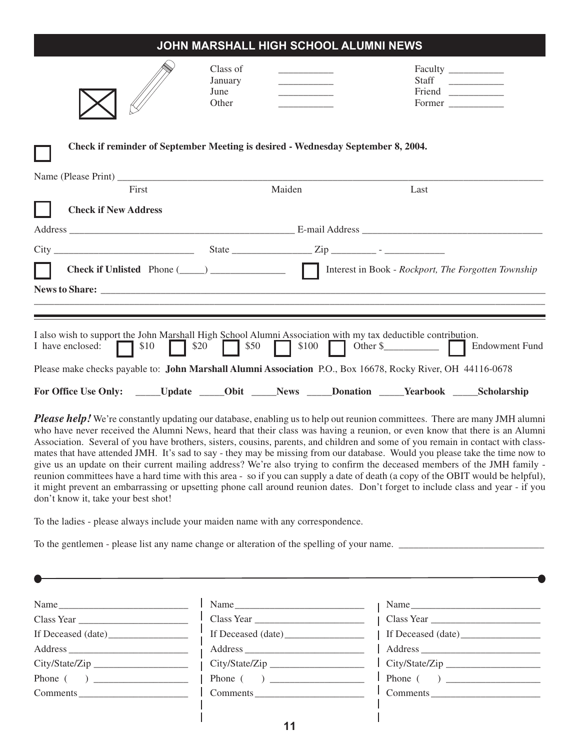|                                                                                                                                                                                                                                                                                                                                                     |                                      |                                                                              | JOHN MARSHALL HIGH SCHOOL ALUMNI NEWS |                           |                                                  |
|-----------------------------------------------------------------------------------------------------------------------------------------------------------------------------------------------------------------------------------------------------------------------------------------------------------------------------------------------------|--------------------------------------|------------------------------------------------------------------------------|---------------------------------------|---------------------------|--------------------------------------------------|
|                                                                                                                                                                                                                                                                                                                                                     | Class of<br>January<br>June<br>Other | the control of the control of the<br><u> 1990 - Johann Barbara, martin a</u> |                                       | Staff<br>Friend<br>Former | <u> 1989 - John Barnett, francuski politik (</u> |
| Check if reminder of September Meeting is desired - Wednesday September 8, 2004.                                                                                                                                                                                                                                                                    |                                      |                                                                              |                                       |                           |                                                  |
| First                                                                                                                                                                                                                                                                                                                                               |                                      | Maiden                                                                       |                                       | Last                      |                                                  |
| <b>Check if New Address</b>                                                                                                                                                                                                                                                                                                                         |                                      |                                                                              |                                       |                           |                                                  |
|                                                                                                                                                                                                                                                                                                                                                     |                                      |                                                                              |                                       |                           |                                                  |
| <u> 1989 - Andrea Santa Andrea Andrea Andrea Andrea Andrea Andrea Andrea Andrea Andrea Andrea Andrea Andrea Andr</u><br>I also wish to support the John Marshall High School Alumni Association with my tax deductible contribution.<br>Please make checks payable to: John Marshall Alumni Association P.O., Box 16678, Rocky River, OH 44116-0678 |                                      |                                                                              |                                       |                           |                                                  |
| For Office Use Only: ______Update ______Obit ______News ______Donation ______Yearbook ______Scholarship                                                                                                                                                                                                                                             |                                      |                                                                              |                                       |                           |                                                  |
| <b>Please help</b> We're constantly undating our database enabling us to help out reunion committees. There are many IMH alumni                                                                                                                                                                                                                     |                                      |                                                                              |                                       |                           |                                                  |

*Please help!* We're constantly updating our database, enabling us to help out reunion committees. There are many JMH alumni who have never received the Alumni News, heard that their class was having a reunion, or even know that there is an Alumni Association. Several of you have brothers, sisters, cousins, parents, and children and some of you remain in contact with classmates that have attended JMH. It's sad to say - they may be missing from our database. Would you please take the time now to give us an update on their current mailing address? We're also trying to confirm the deceased members of the JMH family reunion committees have a hard time with this area - so if you can supply a date of death (a copy of the OBIT would be helpful), it might prevent an embarrassing or upsetting phone call around reunion dates. Don't forget to include class and year - if you don't know it, take your best shot!

To the ladies - please always include your maiden name with any correspondence.

To the gentlemen - please list any name change or alteration of the spelling of your name. \_\_\_\_\_\_\_\_\_\_\_\_\_\_\_\_\_\_\_\_\_\_\_\_\_\_\_\_\_

| Name           | Name                     | Name                                   |
|----------------|--------------------------|----------------------------------------|
|                | $\frac{1}{1}$ Class Year |                                        |
|                |                          | If Deceased (date)                     |
|                |                          |                                        |
| City/State/Zip | City/State/Zip           | City/State/Zip                         |
|                |                          | $\boxed{\text{Phone} \ (\ ) \ \ \_\_}$ |
| Comments       | Comments                 | Comments                               |